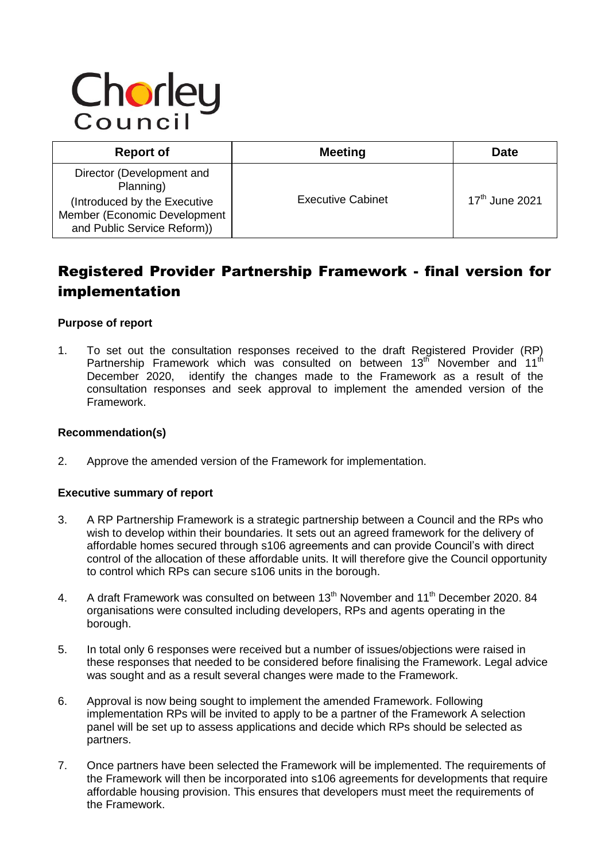# Chorley

| <b>Report of</b>                                                                                                                      | <b>Meeting</b>           | <b>Date</b>                |
|---------------------------------------------------------------------------------------------------------------------------------------|--------------------------|----------------------------|
| Director (Development and<br>Planning)<br>(Introduced by the Executive<br>Member (Economic Development<br>and Public Service Reform)) | <b>Executive Cabinet</b> | 17 <sup>th</sup> June 2021 |

# Registered Provider Partnership Framework - final version for implementation

#### **Purpose of report**

1. To set out the consultation responses received to the draft Registered Provider (RP) Partnership Framework which was consulted on between  $13<sup>th</sup>$  November and  $11<sup>th</sup>$ December 2020, identify the changes made to the Framework as a result of the consultation responses and seek approval to implement the amended version of the Framework.

#### **Recommendation(s)**

2. Approve the amended version of the Framework for implementation.

#### **Executive summary of report**

- 3. A RP Partnership Framework is a strategic partnership between a Council and the RPs who wish to develop within their boundaries. It sets out an agreed framework for the delivery of affordable homes secured through s106 agreements and can provide Council's with direct control of the allocation of these affordable units. It will therefore give the Council opportunity to control which RPs can secure s106 units in the borough.
- 4. A draft Framework was consulted on between 13<sup>th</sup> November and 11<sup>th</sup> December 2020. 84 organisations were consulted including developers, RPs and agents operating in the borough.
- 5. In total only 6 responses were received but a number of issues/objections were raised in these responses that needed to be considered before finalising the Framework. Legal advice was sought and as a result several changes were made to the Framework.
- 6. Approval is now being sought to implement the amended Framework. Following implementation RPs will be invited to apply to be a partner of the Framework A selection panel will be set up to assess applications and decide which RPs should be selected as partners.
- 7. Once partners have been selected the Framework will be implemented. The requirements of the Framework will then be incorporated into s106 agreements for developments that require affordable housing provision. This ensures that developers must meet the requirements of the Framework.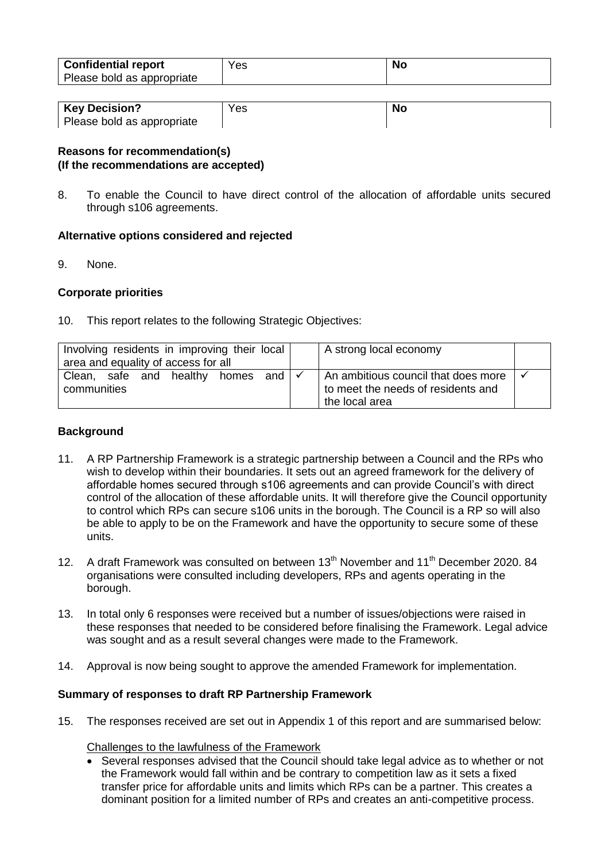| <b>Confidential report</b><br>Please bold as appropriate | Yes | <b>No</b> |
|----------------------------------------------------------|-----|-----------|
|                                                          |     |           |

| <b>Key Decision?</b>       | Yes | .Nc |
|----------------------------|-----|-----|
| Please bold as appropriate |     |     |

# **Reasons for recommendation(s) (If the recommendations are accepted)**

8. To enable the Council to have direct control of the allocation of affordable units secured through s106 agreements.

#### **Alternative options considered and rejected**

9. None.

#### **Corporate priorities**

10. This report relates to the following Strategic Objectives:

| Involving residents in improving their local<br>area and equality of access for all |  |  | A strong local economy  |       |                             |                                                                                             |  |
|-------------------------------------------------------------------------------------|--|--|-------------------------|-------|-----------------------------|---------------------------------------------------------------------------------------------|--|
| communities                                                                         |  |  | Clean, safe and healthy | homes | and $\mathsf{I} \checkmark$ | An ambitious council that does more<br>to meet the needs of residents and<br>the local area |  |

### **Background**

- 11. A RP Partnership Framework is a strategic partnership between a Council and the RPs who wish to develop within their boundaries. It sets out an agreed framework for the delivery of affordable homes secured through s106 agreements and can provide Council's with direct control of the allocation of these affordable units. It will therefore give the Council opportunity to control which RPs can secure s106 units in the borough. The Council is a RP so will also be able to apply to be on the Framework and have the opportunity to secure some of these units.
- 12. A draft Framework was consulted on between 13<sup>th</sup> November and 11<sup>th</sup> December 2020. 84 organisations were consulted including developers, RPs and agents operating in the borough.
- 13. In total only 6 responses were received but a number of issues/objections were raised in these responses that needed to be considered before finalising the Framework. Legal advice was sought and as a result several changes were made to the Framework.
- 14. Approval is now being sought to approve the amended Framework for implementation.

## **Summary of responses to draft RP Partnership Framework**

15. The responses received are set out in Appendix 1 of this report and are summarised below:

Challenges to the lawfulness of the Framework

• Several responses advised that the Council should take legal advice as to whether or not the Framework would fall within and be contrary to competition law as it sets a fixed transfer price for affordable units and limits which RPs can be a partner. This creates a dominant position for a limited number of RPs and creates an anti-competitive process.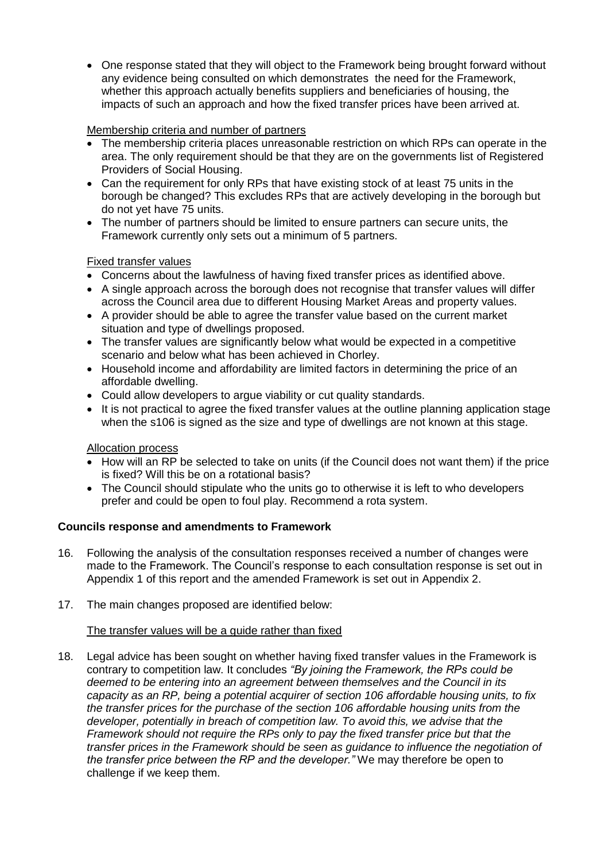• One response stated that they will object to the Framework being brought forward without any evidence being consulted on which demonstrates the need for the Framework, whether this approach actually benefits suppliers and beneficiaries of housing, the impacts of such an approach and how the fixed transfer prices have been arrived at.

### Membership criteria and number of partners

- The membership criteria places unreasonable restriction on which RPs can operate in the area. The only requirement should be that they are on the governments list of Registered Providers of Social Housing.
- Can the requirement for only RPs that have existing stock of at least 75 units in the borough be changed? This excludes RPs that are actively developing in the borough but do not yet have 75 units.
- The number of partners should be limited to ensure partners can secure units, the Framework currently only sets out a minimum of 5 partners.

#### Fixed transfer values

- Concerns about the lawfulness of having fixed transfer prices as identified above.
- A single approach across the borough does not recognise that transfer values will differ across the Council area due to different Housing Market Areas and property values.
- A provider should be able to agree the transfer value based on the current market situation and type of dwellings proposed.
- The transfer values are significantly below what would be expected in a competitive scenario and below what has been achieved in Chorley.
- Household income and affordability are limited factors in determining the price of an affordable dwelling.
- Could allow developers to argue viability or cut quality standards.
- It is not practical to agree the fixed transfer values at the outline planning application stage when the s106 is signed as the size and type of dwellings are not known at this stage.

#### Allocation process

- How will an RP be selected to take on units (if the Council does not want them) if the price is fixed? Will this be on a rotational basis?
- The Council should stipulate who the units go to otherwise it is left to who developers prefer and could be open to foul play. Recommend a rota system.

#### **Councils response and amendments to Framework**

- 16. Following the analysis of the consultation responses received a number of changes were made to the Framework. The Council's response to each consultation response is set out in Appendix 1 of this report and the amended Framework is set out in Appendix 2.
- 17. The main changes proposed are identified below:

#### The transfer values will be a guide rather than fixed

18. Legal advice has been sought on whether having fixed transfer values in the Framework is contrary to competition law. It concludes *"By joining the Framework, the RPs could be deemed to be entering into an agreement between themselves and the Council in its capacity as an RP, being a potential acquirer of section 106 affordable housing units, to fix the transfer prices for the purchase of the section 106 affordable housing units from the developer, potentially in breach of competition law. To avoid this, we advise that the Framework should not require the RPs only to pay the fixed transfer price but that the transfer prices in the Framework should be seen as guidance to influence the negotiation of the transfer price between the RP and the developer."* We may therefore be open to challenge if we keep them.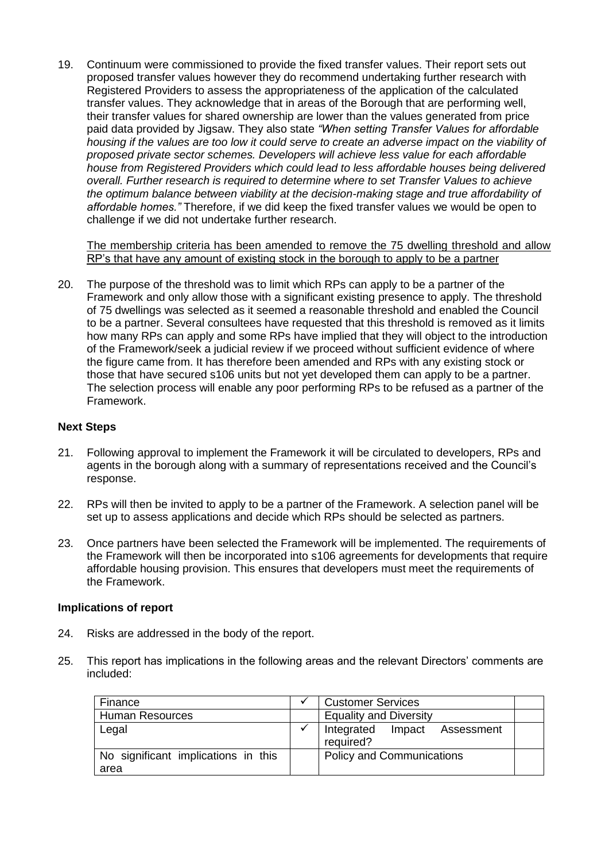19. Continuum were commissioned to provide the fixed transfer values. Their report sets out proposed transfer values however they do recommend undertaking further research with Registered Providers to assess the appropriateness of the application of the calculated transfer values. They acknowledge that in areas of the Borough that are performing well, their transfer values for shared ownership are lower than the values generated from price paid data provided by Jigsaw. They also state *"When setting Transfer Values for affordable*  housing if the values are too low it could serve to create an adverse impact on the viability of *proposed private sector schemes. Developers will achieve less value for each affordable house from Registered Providers which could lead to less affordable houses being delivered overall. Further research is required to determine where to set Transfer Values to achieve the optimum balance between viability at the decision-making stage and true affordability of affordable homes."* Therefore, if we did keep the fixed transfer values we would be open to challenge if we did not undertake further research.

The membership criteria has been amended to remove the 75 dwelling threshold and allow RP's that have any amount of existing stock in the borough to apply to be a partner

20. The purpose of the threshold was to limit which RPs can apply to be a partner of the Framework and only allow those with a significant existing presence to apply. The threshold of 75 dwellings was selected as it seemed a reasonable threshold and enabled the Council to be a partner. Several consultees have requested that this threshold is removed as it limits how many RPs can apply and some RPs have implied that they will object to the introduction of the Framework/seek a judicial review if we proceed without sufficient evidence of where the figure came from. It has therefore been amended and RPs with any existing stock or those that have secured s106 units but not yet developed them can apply to be a partner. The selection process will enable any poor performing RPs to be refused as a partner of the Framework.

#### **Next Steps**

- 21. Following approval to implement the Framework it will be circulated to developers, RPs and agents in the borough along with a summary of representations received and the Council's response.
- 22. RPs will then be invited to apply to be a partner of the Framework. A selection panel will be set up to assess applications and decide which RPs should be selected as partners.
- 23. Once partners have been selected the Framework will be implemented. The requirements of the Framework will then be incorporated into s106 agreements for developments that require affordable housing provision. This ensures that developers must meet the requirements of the Framework.

#### **Implications of report**

- 24. Risks are addressed in the body of the report.
- 25. This report has implications in the following areas and the relevant Directors' comments are included:

| Finance                                     | ✔ | <b>Customer Services</b>                  |  |  |
|---------------------------------------------|---|-------------------------------------------|--|--|
| <b>Human Resources</b>                      |   | <b>Equality and Diversity</b>             |  |  |
| Legal                                       | ✔ | Integrated Impact Assessment<br>required? |  |  |
| No significant implications in this<br>area |   | <b>Policy and Communications</b>          |  |  |